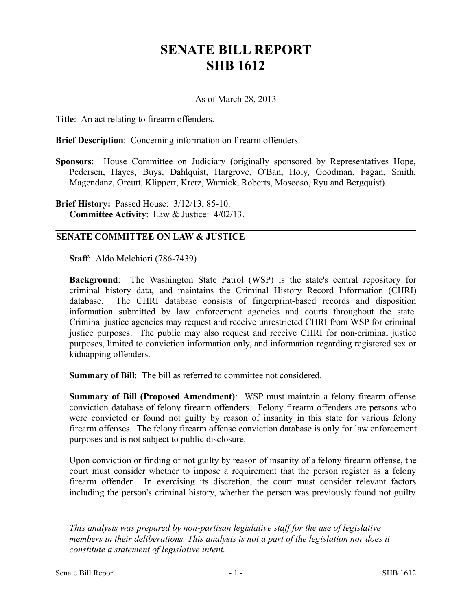## **SENATE BILL REPORT SHB 1612**

## As of March 28, 2013

**Title**: An act relating to firearm offenders.

**Brief Description**: Concerning information on firearm offenders.

**Sponsors**: House Committee on Judiciary (originally sponsored by Representatives Hope, Pedersen, Hayes, Buys, Dahlquist, Hargrove, O'Ban, Holy, Goodman, Fagan, Smith, Magendanz, Orcutt, Klippert, Kretz, Warnick, Roberts, Moscoso, Ryu and Bergquist).

**Brief History:** Passed House: 3/12/13, 85-10. **Committee Activity**: Law & Justice: 4/02/13.

## **SENATE COMMITTEE ON LAW & JUSTICE**

**Staff**: Aldo Melchiori (786-7439)

**Background**: The Washington State Patrol (WSP) is the state's central repository for criminal history data, and maintains the Criminal History Record Information (CHRI) database. The CHRI database consists of fingerprint-based records and disposition information submitted by law enforcement agencies and courts throughout the state. Criminal justice agencies may request and receive unrestricted CHRI from WSP for criminal justice purposes. The public may also request and receive CHRI for non-criminal justice purposes, limited to conviction information only, and information regarding registered sex or kidnapping offenders.

**Summary of Bill**: The bill as referred to committee not considered.

**Summary of Bill (Proposed Amendment)**: WSP must maintain a felony firearm offense conviction database of felony firearm offenders. Felony firearm offenders are persons who were convicted or found not guilty by reason of insanity in this state for various felony firearm offenses. The felony firearm offense conviction database is only for law enforcement purposes and is not subject to public disclosure.

Upon conviction or finding of not guilty by reason of insanity of a felony firearm offense, the court must consider whether to impose a requirement that the person register as a felony firearm offender. In exercising its discretion, the court must consider relevant factors including the person's criminal history, whether the person was previously found not guilty

––––––––––––––––––––––

*This analysis was prepared by non-partisan legislative staff for the use of legislative members in their deliberations. This analysis is not a part of the legislation nor does it constitute a statement of legislative intent.*